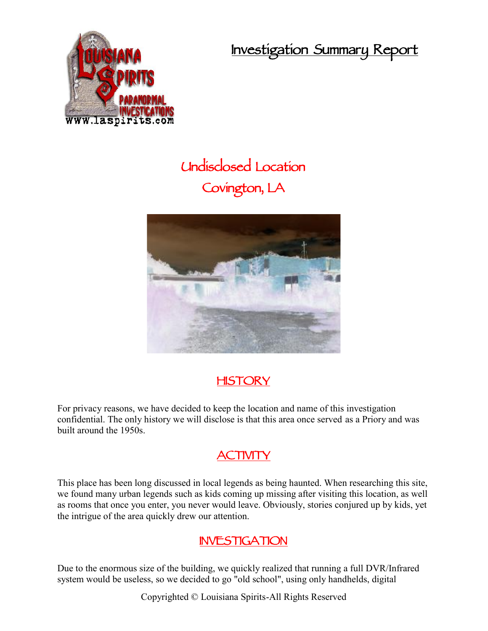**Investigation Summary Report**



## **Undisclosed Location Covington, LA**



## **HISTORY**

For privacy reasons, we have decided to keep the location and name of this investigation confidential. The only history we will disclose is that this area once served as a Priory and was built around the 1950s.

## **ACTIVITY**

This place has been long discussed in local legends as being haunted. When researching this site, we found many urban legends such as kids coming up missing after visiting this location, as well as rooms that once you enter, you never would leave. Obviously, stories conjured up by kids, yet the intrigue of the area quickly drew our attention.

## **INVESTIGATION**

Due to the enormous size of the building, we quickly realized that running a full DVR/Infrared system would be useless, so we decided to go "old school", using only handhelds, digital

Copyrighted © Louisiana Spirits-All Rights Reserved